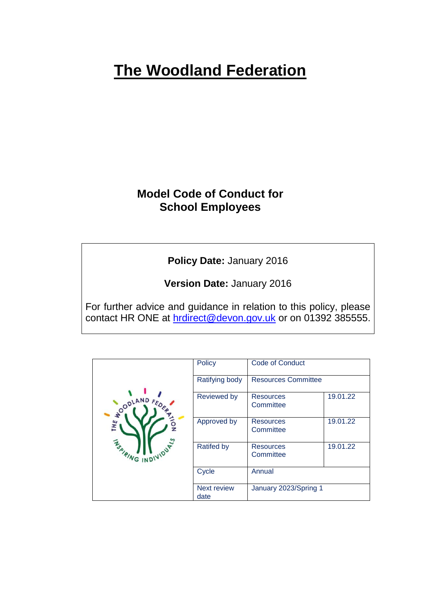# **The Woodland Federation**

# **Model Code of Conduct for School Employees**

**Policy Date:** January 2016

**Version Date:** January 2016

For further advice and guidance in relation to this policy, please contact HR ONE at [hrdirect@devon.gov.uk](mailto:hrdirect@devon.gov.uk) or on 01392 385555.

| NOODLAND F<br>THE<br>DUALS<br><b>ASPIRING INDIVI</b> | <b>Policy</b>              | <b>Code of Conduct</b>        |          |
|------------------------------------------------------|----------------------------|-------------------------------|----------|
|                                                      | Ratifying body             | <b>Resources Committee</b>    |          |
|                                                      | <b>Reviewed by</b>         | <b>Resources</b><br>Committee | 19.01.22 |
|                                                      | Approved by                | <b>Resources</b><br>Committee | 19.01.22 |
|                                                      | <b>Ratifed by</b>          | <b>Resources</b><br>Committee | 19.01.22 |
|                                                      | Cycle                      | Annual                        |          |
|                                                      | <b>Next review</b><br>date | January 2023/Spring 1         |          |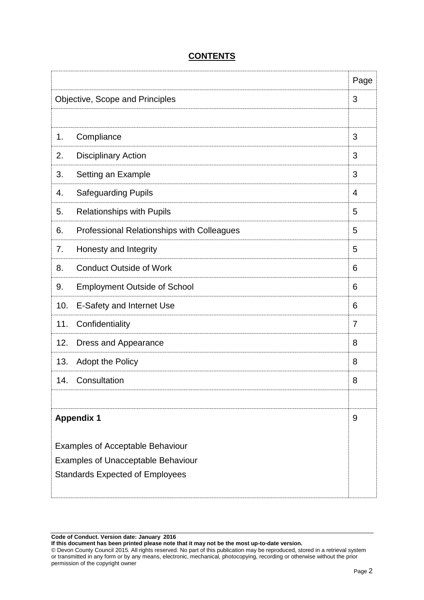|                                                                                                                                |                                            | Page           |
|--------------------------------------------------------------------------------------------------------------------------------|--------------------------------------------|----------------|
|                                                                                                                                | Objective, Scope and Principles            | 3              |
|                                                                                                                                |                                            |                |
| 1.                                                                                                                             | Compliance                                 | 3              |
| 2.                                                                                                                             | <b>Disciplinary Action</b>                 | 3              |
| 3.                                                                                                                             | Setting an Example                         | 3              |
| 4.                                                                                                                             | <b>Safeguarding Pupils</b>                 | 4              |
| 5.                                                                                                                             | <b>Relationships with Pupils</b>           | 5              |
| 6.                                                                                                                             | Professional Relationships with Colleagues | 5              |
| 7.                                                                                                                             | Honesty and Integrity                      | 5              |
| 8.                                                                                                                             | <b>Conduct Outside of Work</b>             | 6              |
| 9.                                                                                                                             | <b>Employment Outside of School</b>        | 6              |
| 10.                                                                                                                            | E-Safety and Internet Use                  | 6              |
| 11.                                                                                                                            | Confidentiality                            | $\overline{7}$ |
| 12.                                                                                                                            | Dress and Appearance                       | 8              |
| 13.                                                                                                                            | <b>Adopt the Policy</b>                    | 8              |
| 14.                                                                                                                            | Consultation                               | 8              |
|                                                                                                                                |                                            |                |
|                                                                                                                                | <b>Appendix 1</b>                          | 9              |
| <b>Examples of Acceptable Behaviour</b><br><b>Examples of Unacceptable Behaviour</b><br><b>Standards Expected of Employees</b> |                                            |                |
|                                                                                                                                |                                            |                |

## **CONTENTS**

**Code of Conduct. Version date: January 2016**

**If this document has been printed please note that it may not be the most up-to-date version.**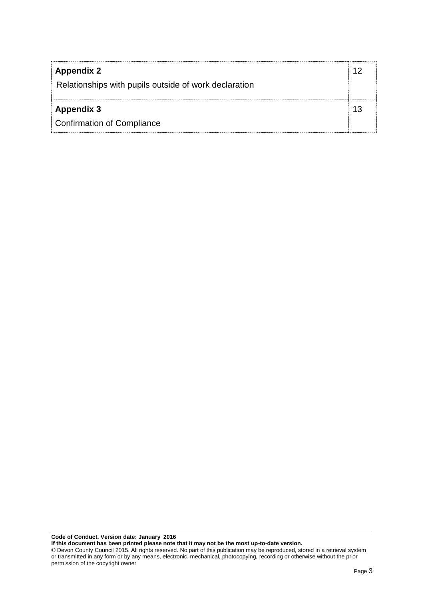| <b>Appendix 2</b><br>Relationships with pupils outside of work declaration |    |
|----------------------------------------------------------------------------|----|
| <b>Appendix 3</b>                                                          | 13 |
| <b>Confirmation of Compliance</b>                                          |    |

**Code of Conduct. Version date: January 2016**

**If this document has been printed please note that it may not be the most up-to-date version.**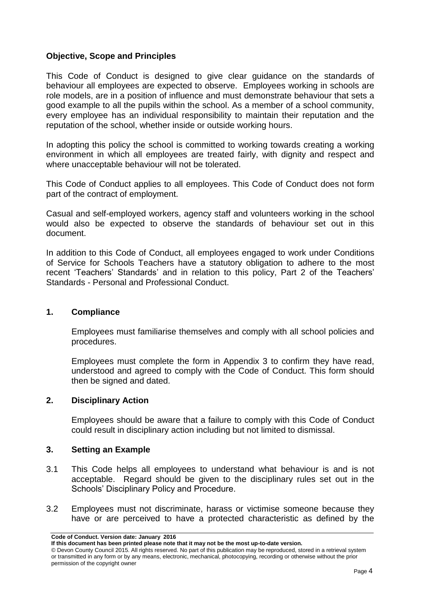#### **Objective, Scope and Principles**

This Code of Conduct is designed to give clear guidance on the standards of behaviour all employees are expected to observe. Employees working in schools are role models, are in a position of influence and must demonstrate behaviour that sets a good example to all the pupils within the school. As a member of a school community, every employee has an individual responsibility to maintain their reputation and the reputation of the school, whether inside or outside working hours.

In adopting this policy the school is committed to working towards creating a working environment in which all employees are treated fairly, with dignity and respect and where unacceptable behaviour will not be tolerated.

This Code of Conduct applies to all employees. This Code of Conduct does not form part of the contract of employment.

Casual and self-employed workers, agency staff and volunteers working in the school would also be expected to observe the standards of behaviour set out in this document.

In addition to this Code of Conduct, all employees engaged to work under Conditions of Service for Schools Teachers have a statutory obligation to adhere to the most recent 'Teachers' Standards' and in relation to this policy, Part 2 of the Teachers' Standards - Personal and Professional Conduct.

#### **1. Compliance**

Employees must familiarise themselves and comply with all school policies and procedures.

Employees must complete the form in Appendix 3 to confirm they have read, understood and agreed to comply with the Code of Conduct. This form should then be signed and dated.

#### **2. Disciplinary Action**

Employees should be aware that a failure to comply with this Code of Conduct could result in disciplinary action including but not limited to dismissal.

#### **3. Setting an Example**

- 3.1 This Code helps all employees to understand what behaviour is and is not acceptable. Regard should be given to the disciplinary rules set out in the Schools' Disciplinary Policy and Procedure.
- 3.2 Employees must not discriminate, harass or victimise someone because they have or are perceived to have a protected characteristic as defined by the

**Code of Conduct. Version date: January 2016**

**If this document has been printed please note that it may not be the most up-to-date version.** 

<sup>©</sup> Devon County Council 2015. All rights reserved. No part of this publication may be reproduced, stored in a retrieval system or transmitted in any form or by any means, electronic, mechanical, photocopying, recording or otherwise without the prior permission of the copyright owner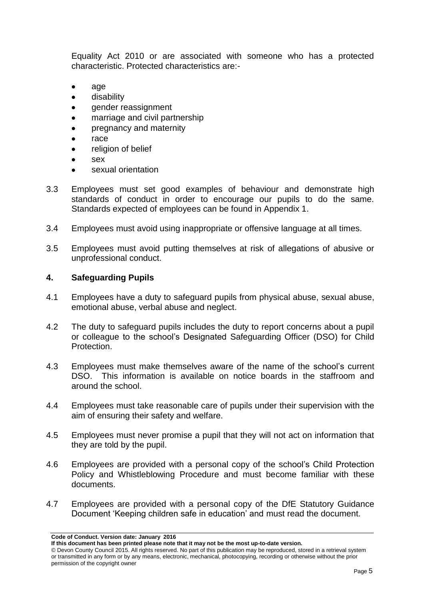Equality Act 2010 or are associated with someone who has a protected characteristic. Protected characteristics are:-

- age
- disability
- gender reassignment
- marriage and civil partnership
- pregnancy and maternity
- race
- religion of belief
- sex
- sexual orientation
- 3.3 Employees must set good examples of behaviour and demonstrate high standards of conduct in order to encourage our pupils to do the same. Standards expected of employees can be found in Appendix 1.
- 3.4 Employees must avoid using inappropriate or offensive language at all times.
- 3.5 Employees must avoid putting themselves at risk of allegations of abusive or unprofessional conduct.

#### **4. Safeguarding Pupils**

- 4.1 Employees have a duty to safeguard pupils from physical abuse, sexual abuse, emotional abuse, verbal abuse and neglect.
- 4.2 The duty to safeguard pupils includes the duty to report concerns about a pupil or colleague to the school's Designated Safeguarding Officer (DSO) for Child **Protection**
- 4.3 Employees must make themselves aware of the name of the school's current DSO. This information is available on notice boards in the staffroom and around the school.
- 4.4 Employees must take reasonable care of pupils under their supervision with the aim of ensuring their safety and welfare.
- 4.5 Employees must never promise a pupil that they will not act on information that they are told by the pupil.
- 4.6 Employees are provided with a personal copy of the school's Child Protection Policy and Whistleblowing Procedure and must become familiar with these documents.
- 4.7 Employees are provided with a personal copy of the DfE Statutory Guidance Document 'Keeping children safe in education' and must read the document.

**Code of Conduct. Version date: January 2016**

**If this document has been printed please note that it may not be the most up-to-date version.** 

<sup>©</sup> Devon County Council 2015. All rights reserved. No part of this publication may be reproduced, stored in a retrieval system or transmitted in any form or by any means, electronic, mechanical, photocopying, recording or otherwise without the prior permission of the copyright owner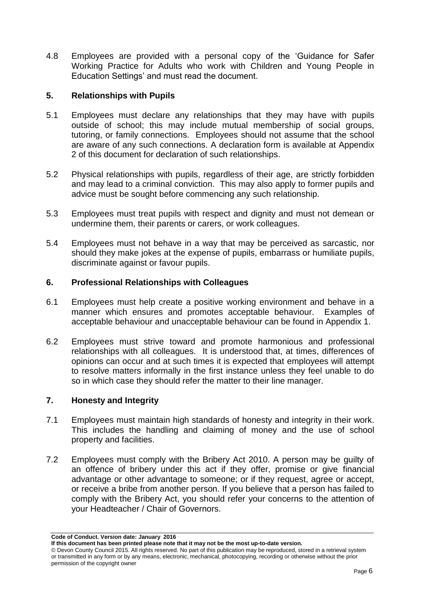4.8 Employees are provided with a personal copy of the 'Guidance for Safer Working Practice for Adults who work with Children and Young People in Education Settings' and must read the document.

#### **5. Relationships with Pupils**

- 5.1 Employees must declare any relationships that they may have with pupils outside of school; this may include mutual membership of social groups, tutoring, or family connections. Employees should not assume that the school are aware of any such connections. A declaration form is available at Appendix 2 of this document for declaration of such relationships.
- 5.2 Physical relationships with pupils, regardless of their age, are strictly forbidden and may lead to a criminal conviction. This may also apply to former pupils and advice must be sought before commencing any such relationship.
- 5.3 Employees must treat pupils with respect and dignity and must not demean or undermine them, their parents or carers, or work colleagues.
- 5.4 Employees must not behave in a way that may be perceived as sarcastic, nor should they make jokes at the expense of pupils, embarrass or humiliate pupils, discriminate against or favour pupils.

#### **6. Professional Relationships with Colleagues**

- 6.1 Employees must help create a positive working environment and behave in a manner which ensures and promotes acceptable behaviour. Examples of acceptable behaviour and unacceptable behaviour can be found in Appendix 1.
- 6.2 Employees must strive toward and promote harmonious and professional relationships with all colleagues. It is understood that, at times, differences of opinions can occur and at such times it is expected that employees will attempt to resolve matters informally in the first instance unless they feel unable to do so in which case they should refer the matter to their line manager.

#### **7. Honesty and Integrity**

- 7.1 Employees must maintain high standards of honesty and integrity in their work. This includes the handling and claiming of money and the use of school property and facilities.
- 7.2 Employees must comply with the Bribery Act 2010. A person may be guilty of an offence of bribery under this act if they offer, promise or give financial advantage or other advantage to someone; or if they request, agree or accept, or receive a bribe from another person. If you believe that a person has failed to comply with the Bribery Act, you should refer your concerns to the attention of your Headteacher / Chair of Governors.

**Code of Conduct. Version date: January 2016**

**If this document has been printed please note that it may not be the most up-to-date version.**  © Devon County Council 2015. All rights reserved. No part of this publication may be reproduced, stored in a retrieval system or transmitted in any form or by any means, electronic, mechanical, photocopying, recording or otherwise without the prior permission of the copyright owner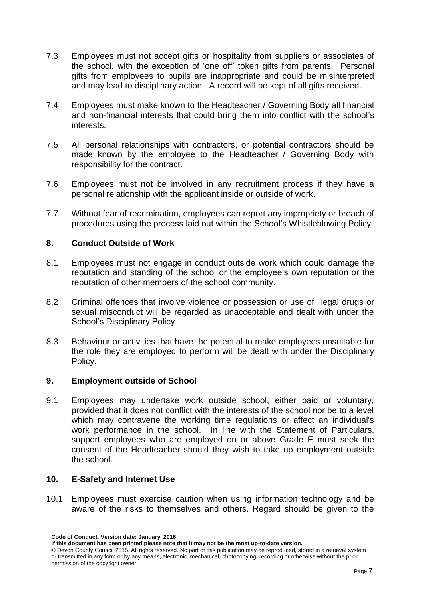- 7.3 Employees must not accept gifts or hospitality from suppliers or associates of the school, with the exception of 'one off' token gifts from parents. Personal gifts from employees to pupils are inappropriate and could be misinterpreted and may lead to disciplinary action. A record will be kept of all gifts received.
- 7.4 Employees must make known to the Headteacher / Governing Body all financial and non-financial interests that could bring them into conflict with the school's interests.
- 7.5 All personal relationships with contractors, or potential contractors should be made known by the employee to the Headteacher / Governing Body with responsibility for the contract.
- 7.6 Employees must not be involved in any recruitment process if they have a personal relationship with the applicant inside or outside of work.
- 7.7 Without fear of recrimination, employees can report any impropriety or breach of procedures using the process laid out within the School's Whistleblowing Policy.

#### **8. Conduct Outside of Work**

- 8.1 Employees must not engage in conduct outside work which could damage the reputation and standing of the school or the employee's own reputation or the reputation of other members of the school community.
- 8.2 Criminal offences that involve violence or possession or use of illegal drugs or sexual misconduct will be regarded as unacceptable and dealt with under the School's Disciplinary Policy.
- 8.3 Behaviour or activities that have the potential to make employees unsuitable for the role they are employed to perform will be dealt with under the Disciplinary Policy.

#### **9. Employment outside of School**

9.1 Employees may undertake work outside school, either paid or voluntary, provided that it does not conflict with the interests of the school nor be to a level which may contravene the working time regulations or affect an individual's work performance in the school. In line with the Statement of Particulars, support employees who are employed on or above Grade E must seek the consent of the Headteacher should they wish to take up employment outside the school.

#### **10. E-Safety and Internet Use**

10.1 Employees must exercise caution when using information technology and be aware of the risks to themselves and others. Regard should be given to the

**Code of Conduct. Version date: January 2016**

**If this document has been printed please note that it may not be the most up-to-date version.** 

<sup>©</sup> Devon County Council 2015. All rights reserved. No part of this publication may be reproduced, stored in a retrieval system or transmitted in any form or by any means, electronic, mechanical, photocopying, recording or otherwise without the prior permission of the copyright owner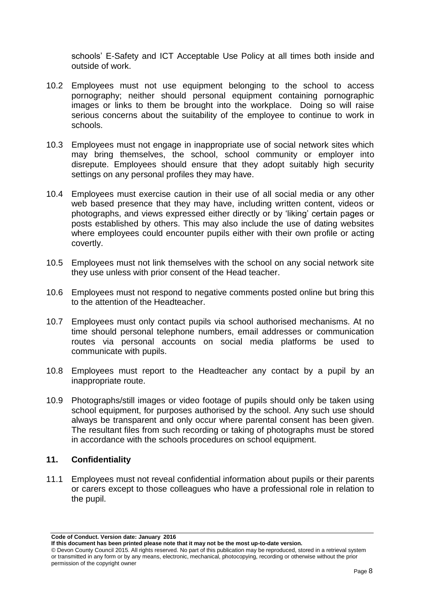schools' E-Safety and ICT Acceptable Use Policy at all times both inside and outside of work.

- 10.2 Employees must not use equipment belonging to the school to access pornography; neither should personal equipment containing pornographic images or links to them be brought into the workplace. Doing so will raise serious concerns about the suitability of the employee to continue to work in schools.
- 10.3 Employees must not engage in inappropriate use of social network sites which may bring themselves, the school, school community or employer into disrepute. Employees should ensure that they adopt suitably high security settings on any personal profiles they may have.
- 10.4 Employees must exercise caution in their use of all social media or any other web based presence that they may have, including written content, videos or photographs, and views expressed either directly or by 'liking' certain pages or posts established by others. This may also include the use of dating websites where employees could encounter pupils either with their own profile or acting covertly.
- 10.5 Employees must not link themselves with the school on any social network site they use unless with prior consent of the Head teacher.
- 10.6 Employees must not respond to negative comments posted online but bring this to the attention of the Headteacher.
- 10.7 Employees must only contact pupils via school authorised mechanisms. At no time should personal telephone numbers, email addresses or communication routes via personal accounts on social media platforms be used to communicate with pupils.
- 10.8 Employees must report to the Headteacher any contact by a pupil by an inappropriate route.
- 10.9 Photographs/still images or video footage of pupils should only be taken using school equipment, for purposes authorised by the school. Any such use should always be transparent and only occur where parental consent has been given. The resultant files from such recording or taking of photographs must be stored in accordance with the schools procedures on school equipment.

#### **11. Confidentiality**

11.1 Employees must not reveal confidential information about pupils or their parents or carers except to those colleagues who have a professional role in relation to the pupil.

**Code of Conduct. Version date: January 2016**

**If this document has been printed please note that it may not be the most up-to-date version.** 

<sup>©</sup> Devon County Council 2015. All rights reserved. No part of this publication may be reproduced, stored in a retrieval system or transmitted in any form or by any means, electronic, mechanical, photocopying, recording or otherwise without the prior permission of the copyright owner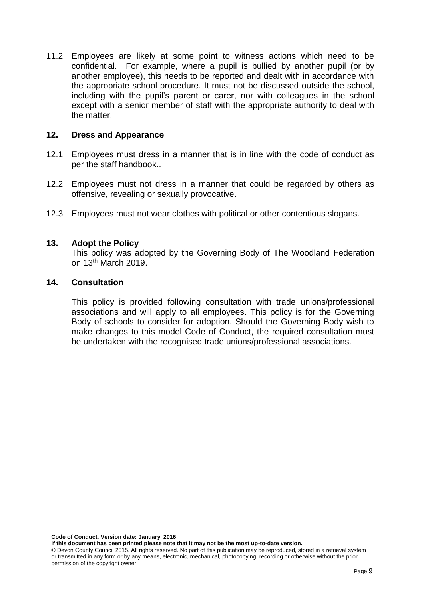11.2 Employees are likely at some point to witness actions which need to be confidential. For example, where a pupil is bullied by another pupil (or by another employee), this needs to be reported and dealt with in accordance with the appropriate school procedure. It must not be discussed outside the school, including with the pupil's parent or carer, nor with colleagues in the school except with a senior member of staff with the appropriate authority to deal with the matter.

#### **12. Dress and Appearance**

- 12.1 Employees must dress in a manner that is in line with the code of conduct as per the staff handbook..
- 12.2 Employees must not dress in a manner that could be regarded by others as offensive, revealing or sexually provocative.
- 12.3 Employees must not wear clothes with political or other contentious slogans.

#### **13. Adopt the Policy**

This policy was adopted by the Governing Body of The Woodland Federation on 13th March 2019.

#### **14. Consultation**

This policy is provided following consultation with trade unions/professional associations and will apply to all employees. This policy is for the Governing Body of schools to consider for adoption. Should the Governing Body wish to make changes to this model Code of Conduct, the required consultation must be undertaken with the recognised trade unions/professional associations.

**Code of Conduct. Version date: January 2016**

**If this document has been printed please note that it may not be the most up-to-date version.**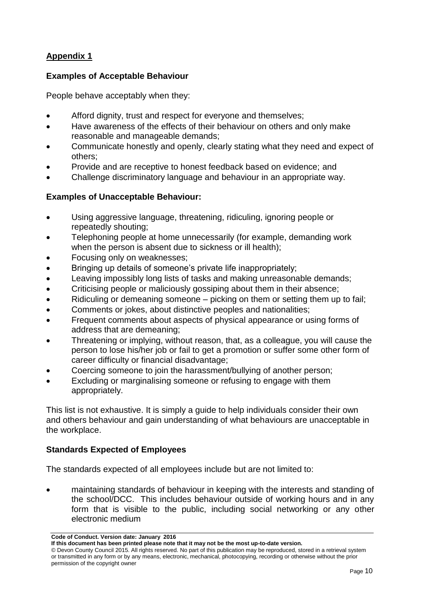### **Appendix 1**

#### **Examples of Acceptable Behaviour**

People behave acceptably when they:

- Afford dignity, trust and respect for everyone and themselves;
- Have awareness of the effects of their behaviour on others and only make reasonable and manageable demands;
- Communicate honestly and openly, clearly stating what they need and expect of others;
- Provide and are receptive to honest feedback based on evidence; and
- Challenge discriminatory language and behaviour in an appropriate way.

#### **Examples of Unacceptable Behaviour:**

- Using aggressive language, threatening, ridiculing, ignoring people or repeatedly shouting;
- Telephoning people at home unnecessarily (for example, demanding work when the person is absent due to sickness or ill health);
- Focusing only on weaknesses;
- Bringing up details of someone's private life inappropriately;
- Leaving impossibly long lists of tasks and making unreasonable demands;
- Criticising people or maliciously gossiping about them in their absence;
- Ridiculing or demeaning someone picking on them or setting them up to fail;
- Comments or jokes, about distinctive peoples and nationalities;
- Frequent comments about aspects of physical appearance or using forms of address that are demeaning;
- Threatening or implying, without reason, that, as a colleague, you will cause the person to lose his/her job or fail to get a promotion or suffer some other form of career difficulty or financial disadvantage;
- Coercing someone to join the harassment/bullying of another person;
- Excluding or marginalising someone or refusing to engage with them appropriately.

This list is not exhaustive. It is simply a guide to help individuals consider their own and others behaviour and gain understanding of what behaviours are unacceptable in the workplace.

#### **Standards Expected of Employees**

The standards expected of all employees include but are not limited to:

 maintaining standards of behaviour in keeping with the interests and standing of the school/DCC. This includes behaviour outside of working hours and in any form that is visible to the public, including social networking or any other electronic medium

**Code of Conduct. Version date: January 2016**

**If this document has been printed please note that it may not be the most up-to-date version.** 

<sup>©</sup> Devon County Council 2015. All rights reserved. No part of this publication may be reproduced, stored in a retrieval system or transmitted in any form or by any means, electronic, mechanical, photocopying, recording or otherwise without the prior permission of the copyright owner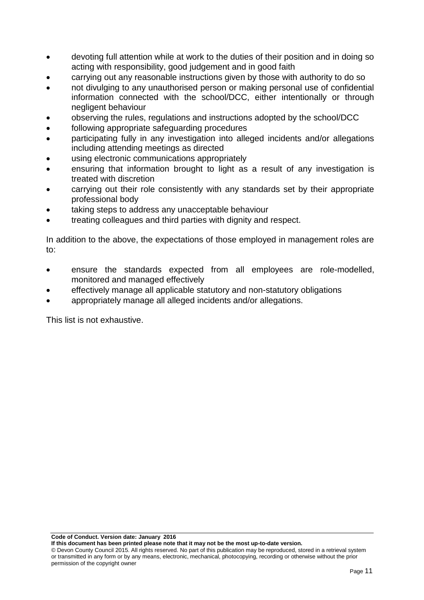- devoting full attention while at work to the duties of their position and in doing so acting with responsibility, good judgement and in good faith
- carrying out any reasonable instructions given by those with authority to do so
- not divulging to any unauthorised person or making personal use of confidential information connected with the school/DCC, either intentionally or through negligent behaviour
- observing the rules, regulations and instructions adopted by the school/DCC
- following appropriate safeguarding procedures
- participating fully in any investigation into alleged incidents and/or allegations including attending meetings as directed
- using electronic communications appropriately
- ensuring that information brought to light as a result of any investigation is treated with discretion
- carrying out their role consistently with any standards set by their appropriate professional body
- taking steps to address any unacceptable behaviour
- treating colleagues and third parties with dignity and respect.

In addition to the above, the expectations of those employed in management roles are to:

- ensure the standards expected from all employees are role-modelled, monitored and managed effectively
- effectively manage all applicable statutory and non-statutory obligations
- appropriately manage all alleged incidents and/or allegations.

This list is not exhaustive.

**Code of Conduct. Version date: January 2016**

**If this document has been printed please note that it may not be the most up-to-date version.**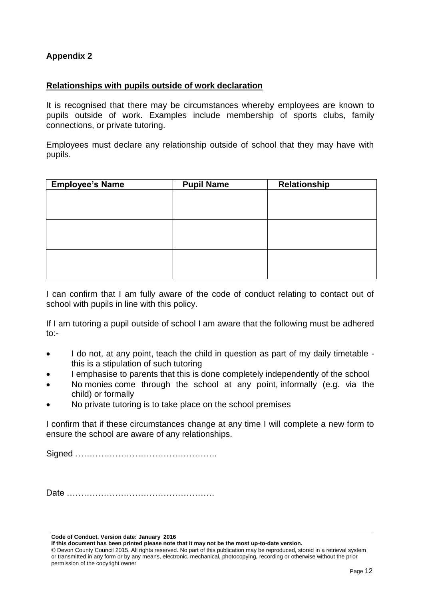#### **Appendix 2**

#### **Relationships with pupils outside of work declaration**

It is recognised that there may be circumstances whereby employees are known to pupils outside of work. Examples include membership of sports clubs, family connections, or private tutoring.

Employees must declare any relationship outside of school that they may have with pupils.

| <b>Employee's Name</b> | <b>Pupil Name</b> | Relationship |
|------------------------|-------------------|--------------|
|                        |                   |              |
|                        |                   |              |
|                        |                   |              |
|                        |                   |              |
|                        |                   |              |
|                        |                   |              |
|                        |                   |              |
|                        |                   |              |
|                        |                   |              |

I can confirm that I am fully aware of the code of conduct relating to contact out of school with pupils in line with this policy.

If I am tutoring a pupil outside of school I am aware that the following must be adhered to:-

- I do not, at any point, teach the child in question as part of my daily timetable this is a stipulation of such tutoring
- I emphasise to parents that this is done completely independently of the school
- No monies come through the school at any point, informally (e.g. via the child) or formally
- No private tutoring is to take place on the school premises

I confirm that if these circumstances change at any time I will complete a new form to ensure the school are aware of any relationships.

Signed …………………………………………..

Date …………………………………………….

**Code of Conduct. Version date: January 2016**

**If this document has been printed please note that it may not be the most up-to-date version.**